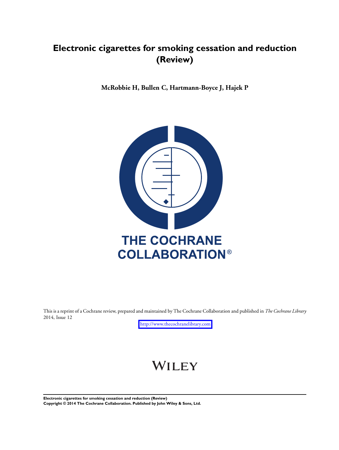## **Electronic cigarettes for smoking cessation and reduction (Review)**

**McRobbie H, Bullen C, Hartmann-Boyce J, Hajek P**



This is a reprint of a Cochrane review, prepared and maintained by The Cochrane Collaboration and published in *The Cochrane Library* 2014, Issue 12

<http://www.thecochranelibrary.com>

# WILEY

**Electronic cigarettes for smoking cessation and reduction (Review) Copyright © 2014 The Cochrane Collaboration. Published by John Wiley & Sons, Ltd.**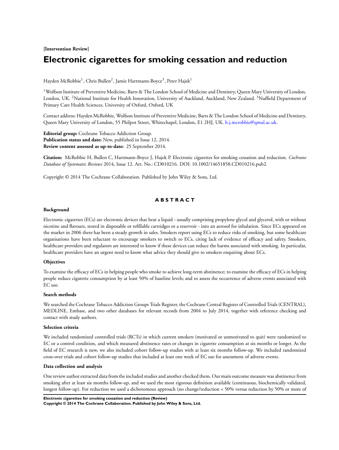### **[Intervention Review] Electronic cigarettes for smoking cessation and reduction**

Hayden McRobbie<sup>1</sup>, Chris Bullen<sup>2</sup>, Jamie Hartmann-Boyce<sup>3</sup>, Peter Hajek<sup>1</sup>

<sup>1</sup>Wolfson Institute of Preventive Medicine, Barts & The London School of Medicine and Dentistry, Queen Mary University of London, London, UK. <sup>2</sup>National Institute for Health Innovation, University of Auckland, Auckland, New Zealand. <sup>3</sup>Nuffield Department of Primary Care Health Sciences, University of Oxford, Oxford, UK

Contact address: Hayden McRobbie, Wolfson Institute of Preventive Medicine, Barts & The London School of Medicine and Dentistry, Queen Mary University of London, 55 Philpot Street, Whitechapel, London, E1 2HJ, UK. [h.j.mcrobbie@qmul.ac.uk.](mailto:h.j.mcrobbie@qmul.ac.uk)

**Editorial group:** Cochrane Tobacco Addiction Group. **Publication status and date:** New, published in Issue 12, 2014. **Review content assessed as up-to-date:** 25 September 2014.

**Citation:** McRobbie H, Bullen C, Hartmann-Boyce J, Hajek P. Electronic cigarettes for smoking cessation and reduction. *Cochrane Database of Systematic Reviews* 2014, Issue 12. Art. No.: CD010216. DOI: 10.1002/14651858.CD010216.pub2.

Copyright © 2014 The Cochrane Collaboration. Published by John Wiley & Sons, Ltd.

#### **A B S T R A C T**

#### **Background**

Electronic cigarettes (ECs) are electronic devices that heat a liquid - usually comprising propylene glycol and glycerol, with or without nicotine and flavours, stored in disposable or refillable cartridges or a reservoir - into an aerosol for inhalation. Since ECs appeared on the market in 2006 there has been a steady growth in sales. Smokers report using ECs to reduce risks of smoking, but some healthcare organisations have been reluctant to encourage smokers to switch to ECs, citing lack of evidence of efficacy and safety. Smokers, healthcare providers and regulators are interested to know if these devices can reduce the harms associated with smoking. In particular, healthcare providers have an urgent need to know what advice they should give to smokers enquiring about ECs.

#### **Objectives**

To examine the efficacy of ECs in helping people who smoke to achieve long-term abstinence; to examine the efficacy of ECs in helping people reduce cigarette consumption by at least 50% of baseline levels; and to assess the occurrence of adverse events associated with EC use.

#### **Search methods**

We searched the Cochrane Tobacco Addiction Groups Trials Register, the Cochrane Central Register of Controlled Trials (CENTRAL), MEDLINE, Embase, and two other databases for relevant records from 2004 to July 2014, together with reference checking and contact with study authors.

#### **Selection criteria**

We included randomized controlled trials (RCTs) in which current smokers (motivated or unmotivated to quit) were randomized to EC or a control condition, and which measured abstinence rates or changes in cigarette consumption at six months or longer. As the field of EC research is new, we also included cohort follow-up studies with at least six months follow-up. We included randomized cross-over trials and cohort follow-up studies that included at least one week of EC use for assessment of adverse events.

#### **Data collection and analysis**

One review author extracted data from the included studies and another checked them. Our main outcome measure was abstinence from smoking after at least six months follow-up, and we used the most rigorous definition available (continuous, biochemically validated, longest follow-up). For reduction we used a dichotomous approach (no change/reduction < 50% versus reduction by 50% or more of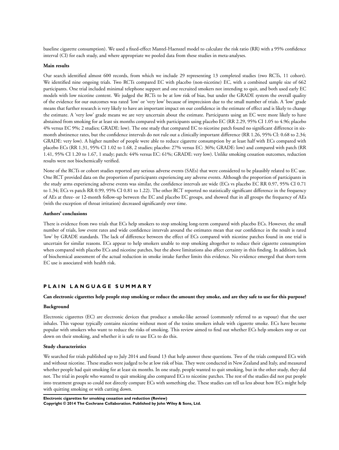baseline cigarette consumption). We used a fixed-effect Mantel-Haenszel model to calculate the risk ratio (RR) with a 95% confidence interval (CI) for each study, and where appropriate we pooled data from these studies in meta-analyses.

#### **Main results**

Our search identified almost 600 records, from which we include 29 representing 13 completed studies (two RCTs, 11 cohort). We identified nine ongoing trials. Two RCTs compared EC with placebo (non-nicotine) EC, with a combined sample size of 662 participants. One trial included minimal telephone support and one recruited smokers not intending to quit, and both used early EC models with low nicotine content. We judged the RCTs to be at low risk of bias, but under the GRADE system the overall quality of the evidence for our outcomes was rated 'low' or 'very low' because of imprecision due to the small number of trials. A 'low' grade means that further research is very likely to have an important impact on our confidence in the estimate of effect and is likely to change the estimate. A 'very low' grade means we are very uncertain about the estimate. Participants using an EC were more likely to have abstained from smoking for at least six months compared with participants using placebo EC (RR 2.29, 95% CI 1.05 to 4.96; placebo 4% versus EC 9%; 2 studies; GRADE: low). The one study that compared EC to nicotine patch found no significant difference in sixmonth abstinence rates, but the confidence intervals do not rule out a clinically important difference (RR 1.26, 95% CI: 0.68 to 2.34; GRADE: very low). A higher number of people were able to reduce cigarette consumption by at least half with ECs compared with placebo ECs (RR 1.31, 95% CI 1.02 to 1.68, 2 studies; placebo: 27% versus EC: 36%; GRADE: low) and compared with patch (RR 1.41, 95% CI 1.20 to 1.67, 1 study; patch: 44% versus EC: 61%; GRADE: very low). Unlike smoking cessation outcomes, reduction results were not biochemically verified.

None of the RCTs or cohort studies reported any serious adverse events (SAEs) that were considered to be plausibly related to EC use. One RCT provided data on the proportion of participants experiencing any adverse events. Although the proportion of participants in the study arms experiencing adverse events was similar, the confidence intervals are wide (ECs vs placebo EC RR 0.97, 95% CI 0.71 to 1.34; ECs vs patch RR 0.99, 95% CI 0.81 to 1.22). The other RCT reported no statistically significant difference in the frequency of AEs at three- or 12-month follow-up between the EC and placebo EC groups, and showed that in all groups the frequency of AEs (with the exception of throat irritation) decreased significantly over time.

#### **Authors' conclusions**

There is evidence from two trials that ECs help smokers to stop smoking long-term compared with placebo ECs. However, the small number of trials, low event rates and wide confidence intervals around the estimates mean that our confidence in the result is rated 'low' by GRADE standards. The lack of difference between the effect of ECs compared with nicotine patches found in one trial is uncertain for similar reasons. ECs appear to help smokers unable to stop smoking altogether to reduce their cigarette consumption when compared with placebo ECs and nicotine patches, but the above limitations also affect certainty in this finding. In addition, lack of biochemical assessment of the actual reduction in smoke intake further limits this evidence. No evidence emerged that short-term EC use is associated with health risk.

#### **P L A I N L A N G U A G E S U M M A R Y**

#### **Can electronic cigarettes help people stop smoking or reduce the amount they smoke, and are they safe to use for this purpose?**

#### **Background**

Electronic cigarettes (EC) are electronic devices that produce a smoke-like aerosol (commonly referred to as vapour) that the user inhales. This vapour typically contains nicotine without most of the toxins smokers inhale with cigarette smoke. ECs have become popular with smokers who want to reduce the risks of smoking. This review aimed to find out whether ECs help smokers stop or cut down on their smoking, and whether it is safe to use ECs to do this.

#### **Study characteristics**

We searched for trials published up to July 2014 and found 13 that help answer these questions. Two of the trials compared ECs with and without nicotine. These studies were judged to be at low risk of bias. They were conducted in New Zealand and Italy, and measured whether people had quit smoking for at least six months. In one study, people wanted to quit smoking, but in the other study, they did not. The trial in people who wanted to quit smoking also compared ECs to nicotine patches. The rest of the studies did not put people into treatment groups so could not directly compare ECs with something else. These studies can tell us less about how ECs might help with quitting smoking or with cutting down.